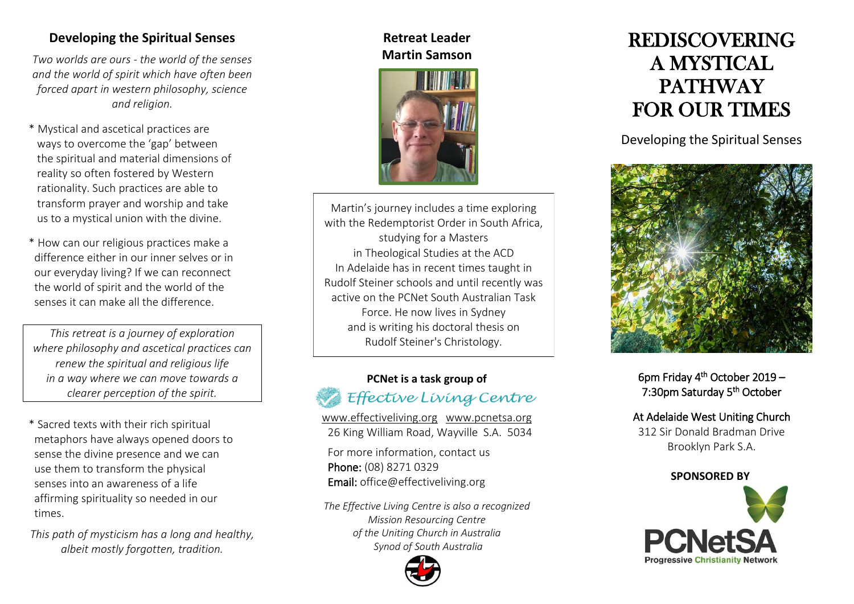## **Developing the Spiritual Senses**

*Two worlds are ours - the world of the senses and the world of spirit which have often been forced apart in western philosophy, science and religion.*

- \* Mystical and ascetical practices are ways to overcome the 'gap' between the spiritual and material dimensions of reality so often fostered by Western rationality. Such practices are able to transform prayer and worship and take us to a mystical union with the divine.
- \* How can our religious practices make a difference either in our inner selves or in our everyday living? If we can reconnect the world of spirit and the world of the senses it can make all the difference.

*This retreat is a journey of exploration where philosophy and ascetical practices can renew the spiritual and religious life in a way where we can move towards a clearer perception of the spirit.*

- \* Sacred texts with their rich spiritual metaphors have always opened doors to sense the divine presence and we can use them to transform the physical senses into an awareness of a life affirming spirituality so needed in our times.
- *This path of mysticism has a long and healthy, albeit mostly forgotten, tradition.*

### **Retreat Leader Martin Samson**



Martin's journey includes a time exploring with the Redemptorist Order in South Africa, studying for a Masters in Theological Studies at the ACD In Adelaide has in recent times taught in Rudolf Steiner schools and until recently was active on the PCNet South Australian Task Force. He now lives in Sydney and is writing his doctoral thesis on Rudolf Steiner's Christology.

## **PCNet is a task group of**  Effective Living Centre

[www.effectiveliving.org](http://www.effectiveliving.org/) [www.pcnetsa.org](http://www.pcnetsa.org/) 26 King William Road, Wayville S.A. 5034 For more information, contact us

Phone: (08) 8271 0329 Email: office@effectiveliving.org

*The Effective Living Centre is also a recognized Mission Resourcing Centre of the Uniting Church in Australia Synod of South Australia*



# REDISCOVERING A MYSTICAL PATHWAY FOR OUR TIMES

Developing the Spiritual Senses



6pm Friday 4th October 2019 – 7:30pm Saturday 5th October

## At Adelaide West Uniting Church

312 Sir Donald Bradman Drive Brooklyn Park S.A.